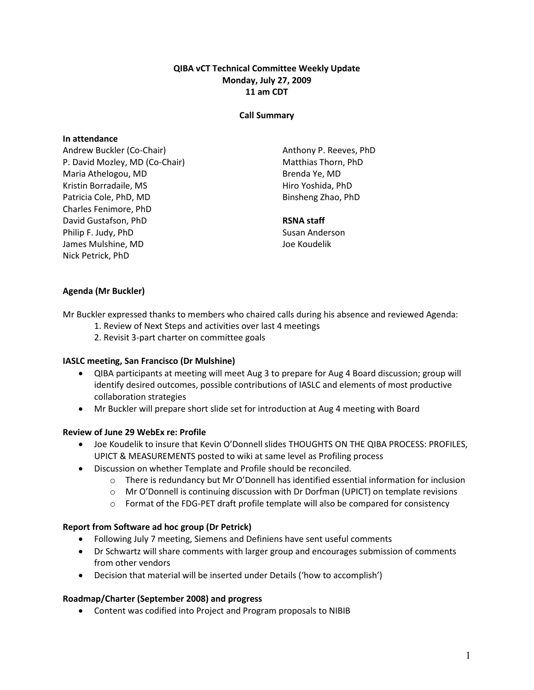### QIBA vCT Technical Committee Weekly Update Monday, July 27, 2009 11 am CDT

#### Call Summary

#### In attendance

Andrew Buckler (Co-Chair) P. David Mozley, MD (Co-Chair) Maria Athelogou, MD Kristin Borradaile, MS Patricia Cole, PhD, MD Charles Fenimore, PhD David Gustafson, PhD Philip F. Judy, PhD James Mulshine, MD Nick Petrick, PhD

Anthony P. Reeves, PhD Matthias Thorn, PhD Brenda Ye, MD Hiro Yoshida, PhD Binsheng Zhao, PhD

#### RSNA staff

Susan Anderson Joe Koudelik

## Agenda (Mr Buckler)

Mr Buckler expressed thanks to members who chaired calls during his absence and reviewed Agenda:

- 1. Review of Next Steps and activities over last 4 meetings
- 2. Revisit 3-part charter on committee goals

### IASLC meeting, San Francisco (Dr Mulshine)

- QIBA participants at meeting will meet Aug 3 to prepare for Aug 4 Board discussion; group will identify desired outcomes, possible contributions of IASLC and elements of most productive collaboration strategies
- Mr Buckler will prepare short slide set for introduction at Aug 4 meeting with Board

### Review of June 29 WebEx re: Profile

- Joe Koudelik to insure that Kevin O'Donnell slides THOUGHTS ON THE QIBA PROCESS: PROFILES, UPICT & MEASUREMENTS posted to wiki at same level as Profiling process
- Discussion on whether Template and Profile should be reconciled.
	- $\circ$  There is redundancy but Mr O'Donnell has identified essential information for inclusion
	- $\circ$  Mr O'Donnell is continuing discussion with Dr Dorfman (UPICT) on template revisions
	- $\circ$  Format of the FDG-PET draft profile template will also be compared for consistency

### Report from Software ad hoc group (Dr Petrick)

- Following July 7 meeting, Siemens and Definiens have sent useful comments
- Dr Schwartz will share comments with larger group and encourages submission of comments from other vendors
- Decision that material will be inserted under Details ('how to accomplish')

# Roadmap/Charter (September 2008) and progress

• Content was codified into Project and Program proposals to NIBIB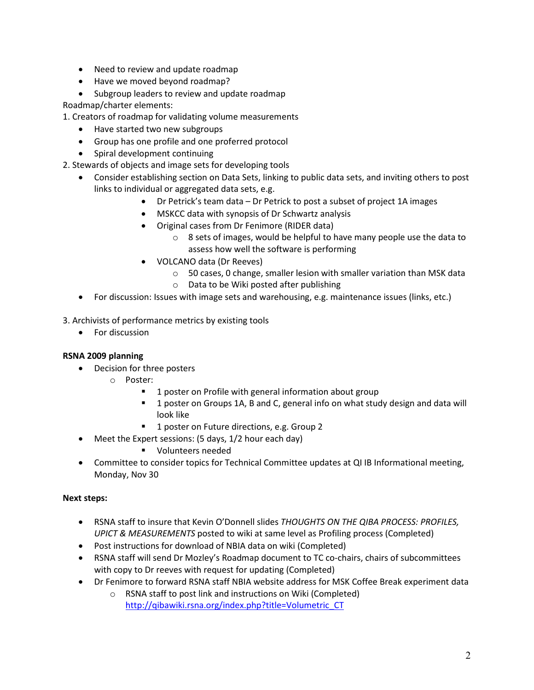- Need to review and update roadmap
- Have we moved beyond roadmap?
- Subgroup leaders to review and update roadmap

Roadmap/charter elements:

1. Creators of roadmap for validating volume measurements

- Have started two new subgroups
- Group has one profile and one proferred protocol
- Spiral development continuing

2. Stewards of objects and image sets for developing tools

- Consider establishing section on Data Sets, linking to public data sets, and inviting others to post links to individual or aggregated data sets, e.g.
	- Dr Petrick's team data Dr Petrick to post a subset of project 1A images
	- MSKCC data with synopsis of Dr Schwartz analysis
	- Original cases from Dr Fenimore (RIDER data)
		- o 8 sets of images, would be helpful to have many people use the data to assess how well the software is performing
	- VOLCANO data (Dr Reeves)
		- o 50 cases, 0 change, smaller lesion with smaller variation than MSK data
		- o Data to be Wiki posted after publishing
- For discussion: Issues with image sets and warehousing, e.g. maintenance issues (links, etc.)

3. Archivists of performance metrics by existing tools

• For discussion

# RSNA 2009 planning

- Decision for three posters
	- o Poster:
		- 1 poster on Profile with general information about group
		- **1** poster on Groups 1A, B and C, general info on what study design and data will look like
		- 1 poster on Future directions, e.g. Group 2
- Meet the Expert sessions: (5 days, 1/2 hour each day)
	- **volunteers needed**
- Committee to consider topics for Technical Committee updates at QI IB Informational meeting, Monday, Nov 30

# Next steps:

- RSNA staff to insure that Kevin O'Donnell slides THOUGHTS ON THE QIBA PROCESS: PROFILES, UPICT & MEASUREMENTS posted to wiki at same level as Profiling process (Completed)
- Post instructions for download of NBIA data on wiki (Completed)
- RSNA staff will send Dr Mozley's Roadmap document to TC co-chairs, chairs of subcommittees with copy to Dr reeves with request for updating (Completed)
- Dr Fenimore to forward RSNA staff NBIA website address for MSK Coffee Break experiment data
	- o RSNA staff to post link and instructions on Wiki (Completed) http://qibawiki.rsna.org/index.php?title=Volumetric\_CT